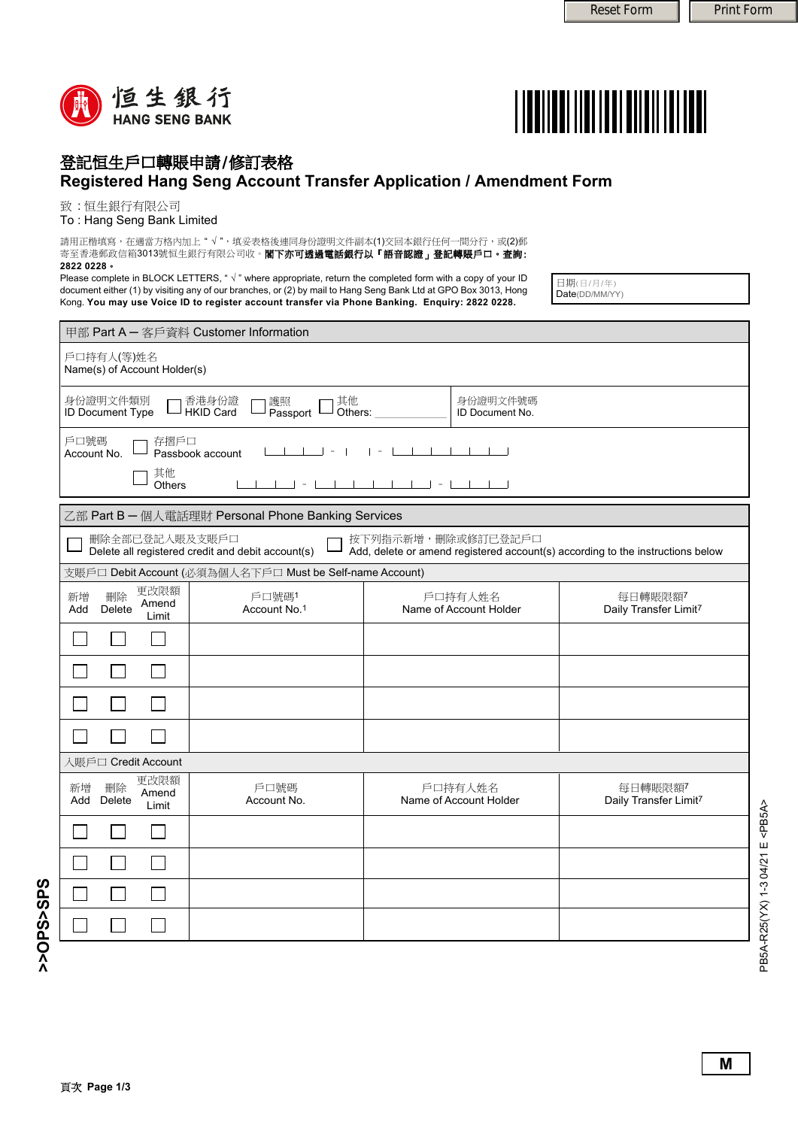



## 登記恒生戶口轉賬申請/修訂表格 **Registered Hang Seng Account Transfer Application / Amendment Form**

致 : 恒生銀行有限公司

To : Hang Seng Bank Limited

請用正楷填寫,在適當方格內加上" √ ",填妥表格後連同身份證明文件副本(1)交回本銀行任何一間分行,或(2)郵 寄至香港郵政信箱3013號恒生銀行有限公司收。閣**下亦可透過電話銀行以「語音認證」登記轉賬戶口。查詢: 2822 0228**。

Please complete in BLOCK LETTERS, "  $\sqrt{ }$  " where appropriate, return the completed form with a copy of your ID document either (1) by visiting any of our branches, or (2) by mail to Hang Seng Bank Ltd at GPO Box 3013, Hong Kong. **You may use Voice ID to register account transfer via Phone Banking. Enquiry: 2822 0228.**

日期(日/月/年) Date(DD/MM/YY)

| 甲部 Part A - 客戶資料 Customer Information                                                                                                                                       |                       |                             |                                   |                                  |  |  |
|-----------------------------------------------------------------------------------------------------------------------------------------------------------------------------|-----------------------|-----------------------------|-----------------------------------|----------------------------------|--|--|
| 戶口持有人(等)姓名<br>Name(s) of Account Holder(s)                                                                                                                                  |                       |                             |                                   |                                  |  |  |
| 香港身份證<br>身份證明文件類別<br>J HKID Card<br><b>ID Document Type</b>                                                                                                                 | J Others:             | 身份證明文件號碼<br>ID Document No. |                                   |                                  |  |  |
| 戶口號碼<br>存摺戶口<br>$\vert \vert$ = $\vert$<br>$\vert \vert - \vert$<br>Passbook account<br>Account No.                                                                         |                       |                             |                                   |                                  |  |  |
| 其他<br>1 1 1 - 1 1 1 1 1 1 1 - 1 1 1 1<br><b>Others</b>                                                                                                                      |                       |                             |                                   |                                  |  |  |
| 乙部 Part B - 個人電話理財 Personal Phone Banking Services                                                                                                                          |                       |                             |                                   |                                  |  |  |
| 刪除全部已登記入賬及支賬戶口<br>按下列指示新增,刪除或修訂已登記戶口<br>Delete all registered credit and debit account(s)<br>Add, delete or amend registered account(s) according to the instructions below |                       |                             |                                   |                                  |  |  |
| 支賬戶口 Debit Account (必須為個人名下戶口 Must be Self-name Account)                                                                                                                    |                       |                             |                                   |                                  |  |  |
| 更改限額<br>刪除<br>新增<br>Amend<br>Delete<br>Add<br>Limit                                                                                                                         | 戶口號碼1<br>Account No.1 |                             | 戶口持有人姓名<br>Name of Account Holder | 每日轉賬限額7<br>Daily Transfer Limit7 |  |  |
|                                                                                                                                                                             |                       |                             |                                   |                                  |  |  |
|                                                                                                                                                                             |                       |                             |                                   |                                  |  |  |
|                                                                                                                                                                             |                       |                             |                                   |                                  |  |  |
|                                                                                                                                                                             |                       |                             |                                   |                                  |  |  |
| 入賬戶□ Credit Account                                                                                                                                                         |                       |                             |                                   |                                  |  |  |
| 更改限額<br>新增<br>刪除<br>Amend<br>Add<br>Delete<br>Limit                                                                                                                         | 戶口號碼<br>Account No.   |                             | 戶口持有人姓名<br>Name of Account Holder | 每日轉賬限額7<br>Daily Transfer Limit7 |  |  |
|                                                                                                                                                                             |                       |                             |                                   |                                  |  |  |
|                                                                                                                                                                             |                       |                             |                                   |                                  |  |  |
|                                                                                                                                                                             |                       |                             |                                   |                                  |  |  |
|                                                                                                                                                                             |                       |                             |                                   |                                  |  |  |

PB5A-R25(YX) 1-3 04/21 E <PB5A>

PB5A-R25(YX) 1-3 04/21 E<PB5A>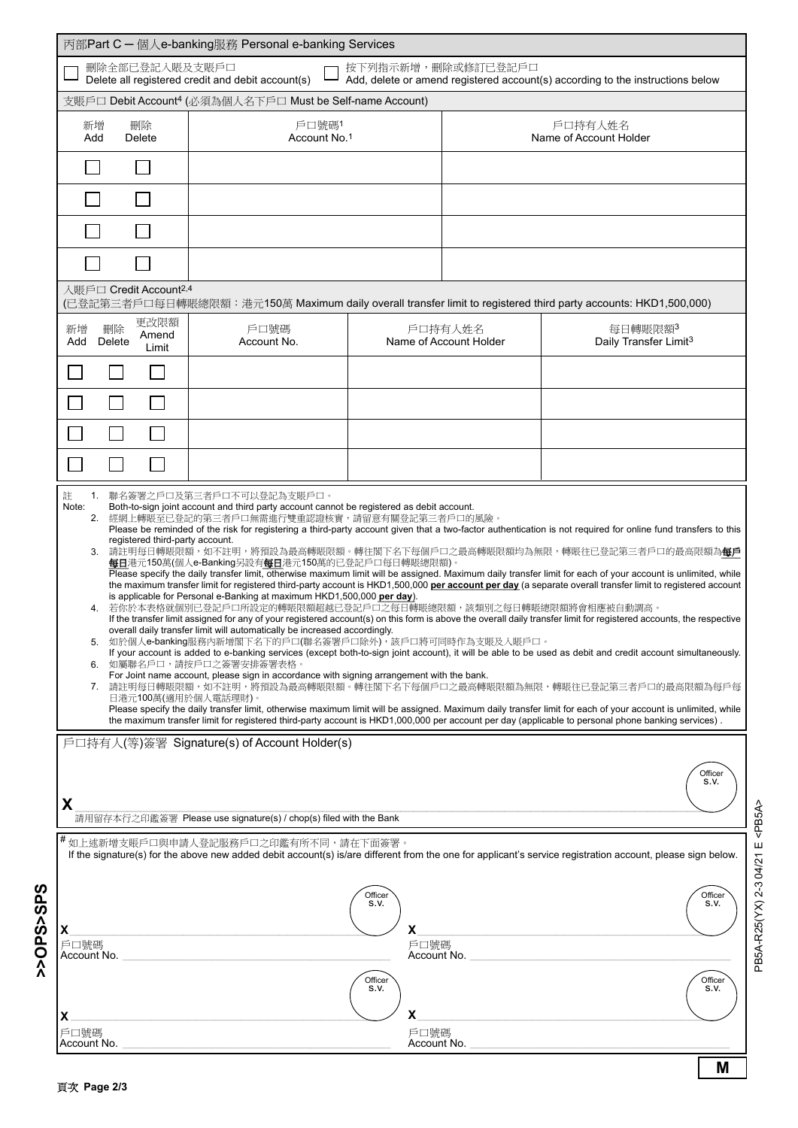|                                                                                                                                                                                                                                                                                                                                                                                                                                                                                                                                                                                                                                                                                                                                                                                                                                                                                                                                                                                                                                                                                                                                                                                                                                                                                                                                                                                                                                                                                                                                                                                                                                                   | 丙部Part C - 個人e-banking服務 Personal e-banking Services |                                                 |                                   |                                                                                                                |  |  |
|---------------------------------------------------------------------------------------------------------------------------------------------------------------------------------------------------------------------------------------------------------------------------------------------------------------------------------------------------------------------------------------------------------------------------------------------------------------------------------------------------------------------------------------------------------------------------------------------------------------------------------------------------------------------------------------------------------------------------------------------------------------------------------------------------------------------------------------------------------------------------------------------------------------------------------------------------------------------------------------------------------------------------------------------------------------------------------------------------------------------------------------------------------------------------------------------------------------------------------------------------------------------------------------------------------------------------------------------------------------------------------------------------------------------------------------------------------------------------------------------------------------------------------------------------------------------------------------------------------------------------------------------------|------------------------------------------------------|-------------------------------------------------|-----------------------------------|----------------------------------------------------------------------------------------------------------------|--|--|
| 刪除全部已登記入賬及支賬戶口<br>按下列指示新增,刪除或修訂已登記戶口<br>Delete all registered credit and debit account(s)<br>Add, delete or amend registered account(s) according to the instructions below                                                                                                                                                                                                                                                                                                                                                                                                                                                                                                                                                                                                                                                                                                                                                                                                                                                                                                                                                                                                                                                                                                                                                                                                                                                                                                                                                                                                                                                                       |                                                      |                                                 |                                   |                                                                                                                |  |  |
| 支賬戶口 Debit Account <sup>4</sup> (必須為個人名下戶口 Must be Self-name Account)                                                                                                                                                                                                                                                                                                                                                                                                                                                                                                                                                                                                                                                                                                                                                                                                                                                                                                                                                                                                                                                                                                                                                                                                                                                                                                                                                                                                                                                                                                                                                                             |                                                      |                                                 |                                   |                                                                                                                |  |  |
| 刪除<br>新增<br><b>Delete</b><br>Add                                                                                                                                                                                                                                                                                                                                                                                                                                                                                                                                                                                                                                                                                                                                                                                                                                                                                                                                                                                                                                                                                                                                                                                                                                                                                                                                                                                                                                                                                                                                                                                                                  | 戶口號碼1<br>Account No.1                                |                                                 | 戶口持有人姓名<br>Name of Account Holder |                                                                                                                |  |  |
|                                                                                                                                                                                                                                                                                                                                                                                                                                                                                                                                                                                                                                                                                                                                                                                                                                                                                                                                                                                                                                                                                                                                                                                                                                                                                                                                                                                                                                                                                                                                                                                                                                                   |                                                      |                                                 |                                   |                                                                                                                |  |  |
|                                                                                                                                                                                                                                                                                                                                                                                                                                                                                                                                                                                                                                                                                                                                                                                                                                                                                                                                                                                                                                                                                                                                                                                                                                                                                                                                                                                                                                                                                                                                                                                                                                                   |                                                      |                                                 |                                   |                                                                                                                |  |  |
|                                                                                                                                                                                                                                                                                                                                                                                                                                                                                                                                                                                                                                                                                                                                                                                                                                                                                                                                                                                                                                                                                                                                                                                                                                                                                                                                                                                                                                                                                                                                                                                                                                                   |                                                      |                                                 |                                   |                                                                                                                |  |  |
| 入賬戶口 Credit Account <sup>2,4</sup>                                                                                                                                                                                                                                                                                                                                                                                                                                                                                                                                                                                                                                                                                                                                                                                                                                                                                                                                                                                                                                                                                                                                                                                                                                                                                                                                                                                                                                                                                                                                                                                                                |                                                      |                                                 |                                   |                                                                                                                |  |  |
|                                                                                                                                                                                                                                                                                                                                                                                                                                                                                                                                                                                                                                                                                                                                                                                                                                                                                                                                                                                                                                                                                                                                                                                                                                                                                                                                                                                                                                                                                                                                                                                                                                                   |                                                      |                                                 |                                   | (已登記第三者戶口每日轉賬總限額:港元150萬 Maximum daily overall transfer limit to registered third party accounts: HKD1,500,000) |  |  |
| 更改限額<br>刪除<br>新增<br>Amend<br>Delete<br>Add<br>Limit                                                                                                                                                                                                                                                                                                                                                                                                                                                                                                                                                                                                                                                                                                                                                                                                                                                                                                                                                                                                                                                                                                                                                                                                                                                                                                                                                                                                                                                                                                                                                                                               | 戶口號碼<br>Account No.                                  |                                                 | 戶口持有人姓名<br>Name of Account Holder | 每日轉賬限額3<br>Daily Transfer Limit <sup>3</sup>                                                                   |  |  |
|                                                                                                                                                                                                                                                                                                                                                                                                                                                                                                                                                                                                                                                                                                                                                                                                                                                                                                                                                                                                                                                                                                                                                                                                                                                                                                                                                                                                                                                                                                                                                                                                                                                   |                                                      |                                                 |                                   |                                                                                                                |  |  |
|                                                                                                                                                                                                                                                                                                                                                                                                                                                                                                                                                                                                                                                                                                                                                                                                                                                                                                                                                                                                                                                                                                                                                                                                                                                                                                                                                                                                                                                                                                                                                                                                                                                   |                                                      |                                                 |                                   |                                                                                                                |  |  |
| $\mathcal{L}_{\mathcal{A}}$                                                                                                                                                                                                                                                                                                                                                                                                                                                                                                                                                                                                                                                                                                                                                                                                                                                                                                                                                                                                                                                                                                                                                                                                                                                                                                                                                                                                                                                                                                                                                                                                                       |                                                      |                                                 |                                   |                                                                                                                |  |  |
|                                                                                                                                                                                                                                                                                                                                                                                                                                                                                                                                                                                                                                                                                                                                                                                                                                                                                                                                                                                                                                                                                                                                                                                                                                                                                                                                                                                                                                                                                                                                                                                                                                                   |                                                      |                                                 |                                   |                                                                                                                |  |  |
| 3. 請註明每日轉賬限額,如不註明,將預設為最高轉賬限額。轉往閣下名下每個戶口之最高轉賬限額均為無限,轉賬往已登記第三者戶口的最高限額為每戶<br><b>每日</b> 港元150萬(個人e-Banking另設有 <b>每日</b> 港元150萬的已登記戶口每日轉賬總限額)。<br>Please specify the daily transfer limit, otherwise maximum limit will be assigned. Maximum daily transfer limit for each of your account is unlimited, while<br>the maximum transfer limit for registered third-party account is HKD1,500,000 per account per day (a separate overall transfer limit to registered account<br>is applicable for Personal e-Banking at maximum HKD1,500,000 per day).<br>4. 若你於本表格就個別已登記戶口所設定的轉賬限額超越已登記戶口之每日轉賬總限額,該類別之每日轉賬總限額將會相應被自動調高。<br>If the transfer limit assigned for any of your registered account(s) on this form is above the overall daily transfer limit for registered accounts, the respective<br>overall daily transfer limit will automatically be increased accordingly.<br>5. 如於個人e-banking服務內新增閣下名下的戶口(聯名簽署戶口除外),該戶口將可同時作為支賬及入賬戶口。<br>If your account is added to e-banking services (except both-to-sign joint account), it will be able to be used as debit and credit account simultaneously.<br>6. 如屬聯名戶口,請按戶口之簽署安排簽署表格。<br>For Joint name account, please sign in accordance with signing arrangement with the bank.<br>7. 請註明每日轉賬限額,如不註明,將預設為最高轉賬限額。轉往閣下名下每個戶口之最高轉賬限額為無限,轉賬往已登記第三者戶口的最高限額為每戶每<br>日港元100萬(適用於個人電話理財)。<br>Please specify the daily transfer limit, otherwise maximum limit will be assigned. Maximum daily transfer limit for each of your account is unlimited, while<br>the maximum transfer limit for registered third-party account is HKD1,000,000 per account per day (applicable to personal phone banking services). |                                                      |                                                 |                                   |                                                                                                                |  |  |
|                                                                                                                                                                                                                                                                                                                                                                                                                                                                                                                                                                                                                                                                                                                                                                                                                                                                                                                                                                                                                                                                                                                                                                                                                                                                                                                                                                                                                                                                                                                                                                                                                                                   | 戶口持有人(等)簽署 Signature(s) of Account Holder(s)         |                                                 |                                   |                                                                                                                |  |  |
| Officer<br>S.V.<br>X<br>請用留存本行之印鑑簽署 Please use signature(s) / chop(s) filed with the Bank                                                                                                                                                                                                                                                                                                                                                                                                                                                                                                                                                                                                                                                                                                                                                                                                                                                                                                                                                                                                                                                                                                                                                                                                                                                                                                                                                                                                                                                                                                                                                         |                                                      |                                                 |                                   |                                                                                                                |  |  |
| <sup>#</sup> 如上述新增支賬戶口與申請人登記服務戶口之印鑑有所不同,請在下面簽署。<br>If the signature(s) for the above new added debit account(s) is/are different from the one for applicant's service registration account, please sign below.                                                                                                                                                                                                                                                                                                                                                                                                                                                                                                                                                                                                                                                                                                                                                                                                                                                                                                                                                                                                                                                                                                                                                                                                                                                                                                                                                                                                                                    |                                                      |                                                 |                                   |                                                                                                                |  |  |
| х<br>戶口號碼<br>Account No.                                                                                                                                                                                                                                                                                                                                                                                                                                                                                                                                                                                                                                                                                                                                                                                                                                                                                                                                                                                                                                                                                                                                                                                                                                                                                                                                                                                                                                                                                                                                                                                                                          |                                                      | Officer<br>S.V.<br>X<br>戶口號碼<br>Officer<br>S.V. | Account No.                       | Officer<br>S.V.<br>Officer                                                                                     |  |  |
| X<br>戶口號碼<br>Account No.                                                                                                                                                                                                                                                                                                                                                                                                                                                                                                                                                                                                                                                                                                                                                                                                                                                                                                                                                                                                                                                                                                                                                                                                                                                                                                                                                                                                                                                                                                                                                                                                                          |                                                      | x<br>戶口號碼<br>Account No.                        |                                   | S.V.                                                                                                           |  |  |